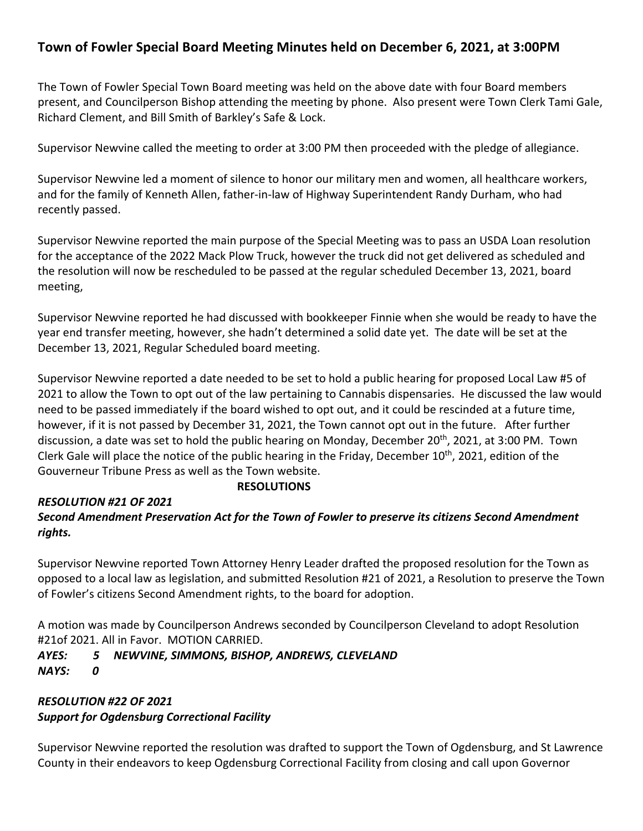## **Town of Fowler Special Board Meeting Minutes held on December 6, 2021, at 3:00PM**

The Town of Fowler Special Town Board meeting was held on the above date with four Board members present, and Councilperson Bishop attending the meeting by phone. Also present were Town Clerk Tami Gale, Richard Clement, and Bill Smith of Barkley's Safe & Lock.

Supervisor Newvine called the meeting to order at 3:00 PM then proceeded with the pledge of allegiance.

Supervisor Newvine led a moment of silence to honor our military men and women, all healthcare workers, and for the family of Kenneth Allen, father-in-law of Highway Superintendent Randy Durham, who had recently passed.

Supervisor Newvine reported the main purpose of the Special Meeting was to pass an USDA Loan resolution for the acceptance of the 2022 Mack Plow Truck, however the truck did not get delivered as scheduled and the resolution will now be rescheduled to be passed at the regular scheduled December 13, 2021, board meeting,

Supervisor Newvine reported he had discussed with bookkeeper Finnie when she would be ready to have the year end transfer meeting, however, she hadn't determined a solid date yet. The date will be set at the December 13, 2021, Regular Scheduled board meeting.

Supervisor Newvine reported a date needed to be set to hold a public hearing for proposed Local Law #5 of 2021 to allow the Town to opt out of the law pertaining to Cannabis dispensaries. He discussed the law would need to be passed immediately if the board wished to opt out, and it could be rescinded at a future time, however, if it is not passed by December 31, 2021, the Town cannot opt out in the future. After further discussion, a date was set to hold the public hearing on Monday, December 20<sup>th</sup>, 2021, at 3:00 PM. Town Clerk Gale will place the notice of the public hearing in the Friday, December 10<sup>th</sup>, 2021, edition of the Gouverneur Tribune Press as well as the Town website.

### *RESOLUTION #21 OF 2021*

### **RESOLUTIONS**

## *Second Amendment Preservation Act for the Town of Fowler to preserve its citizens Second Amendment rights.*

Supervisor Newvine reported Town Attorney Henry Leader drafted the proposed resolution for the Town as opposed to a local law as legislation, and submitted Resolution #21 of 2021, a Resolution to preserve the Town of Fowler's citizens Second Amendment rights, to the board for adoption.

A motion was made by Councilperson Andrews seconded by Councilperson Cleveland to adopt Resolution #21of 2021. All in Favor. MOTION CARRIED.

# *AYES: 5 NEWVINE, SIMMONS, BISHOP, ANDREWS, CLEVELAND*

*NAYS: 0*

#### *RESOLUTION #22 OF 2021 Support for Ogdensburg Correctional Facility*

Supervisor Newvine reported the resolution was drafted to support the Town of Ogdensburg, and St Lawrence County in their endeavors to keep Ogdensburg Correctional Facility from closing and call upon Governor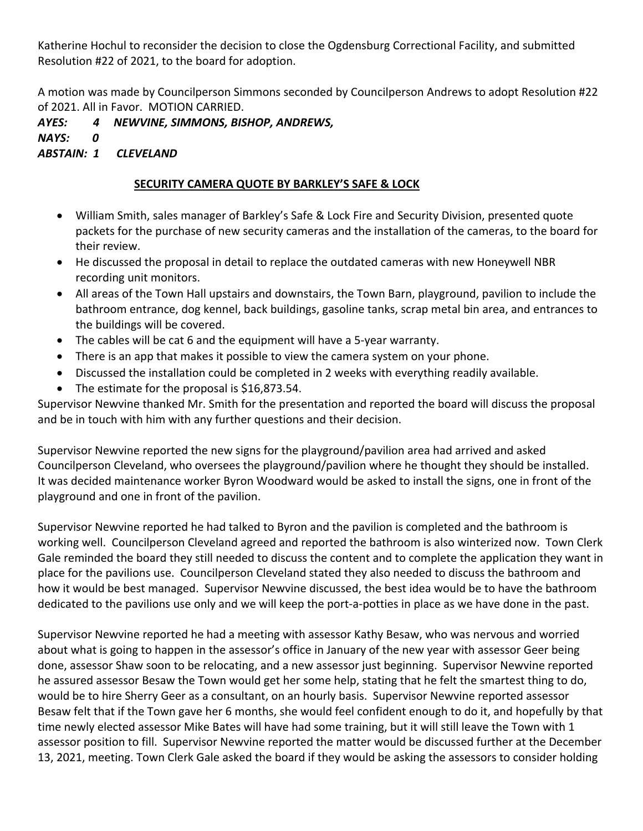Katherine Hochul to reconsider the decision to close the Ogdensburg Correctional Facility, and submitted Resolution #22 of 2021, to the board for adoption.

A motion was made by Councilperson Simmons seconded by Councilperson Andrews to adopt Resolution #22 of 2021. All in Favor. MOTION CARRIED.

*AYES: 4 NEWVINE, SIMMONS, BISHOP, ANDREWS, NAYS: 0 ABSTAIN: 1 CLEVELAND*

## **SECURITY CAMERA QUOTE BY BARKLEY'S SAFE & LOCK**

- William Smith, sales manager of Barkley's Safe & Lock Fire and Security Division, presented quote packets for the purchase of new security cameras and the installation of the cameras, to the board for their review.
- He discussed the proposal in detail to replace the outdated cameras with new Honeywell NBR recording unit monitors.
- All areas of the Town Hall upstairs and downstairs, the Town Barn, playground, pavilion to include the bathroom entrance, dog kennel, back buildings, gasoline tanks, scrap metal bin area, and entrances to the buildings will be covered.
- The cables will be cat 6 and the equipment will have a 5-year warranty.
- There is an app that makes it possible to view the camera system on your phone.
- Discussed the installation could be completed in 2 weeks with everything readily available.
- The estimate for the proposal is \$16,873.54.

Supervisor Newvine thanked Mr. Smith for the presentation and reported the board will discuss the proposal and be in touch with him with any further questions and their decision.

Supervisor Newvine reported the new signs for the playground/pavilion area had arrived and asked Councilperson Cleveland, who oversees the playground/pavilion where he thought they should be installed. It was decided maintenance worker Byron Woodward would be asked to install the signs, one in front of the playground and one in front of the pavilion.

Supervisor Newvine reported he had talked to Byron and the pavilion is completed and the bathroom is working well. Councilperson Cleveland agreed and reported the bathroom is also winterized now. Town Clerk Gale reminded the board they still needed to discuss the content and to complete the application they want in place for the pavilions use. Councilperson Cleveland stated they also needed to discuss the bathroom and how it would be best managed. Supervisor Newvine discussed, the best idea would be to have the bathroom dedicated to the pavilions use only and we will keep the port-a-potties in place as we have done in the past.

Supervisor Newvine reported he had a meeting with assessor Kathy Besaw, who was nervous and worried about what is going to happen in the assessor's office in January of the new year with assessor Geer being done, assessor Shaw soon to be relocating, and a new assessor just beginning. Supervisor Newvine reported he assured assessor Besaw the Town would get her some help, stating that he felt the smartest thing to do, would be to hire Sherry Geer as a consultant, on an hourly basis. Supervisor Newvine reported assessor Besaw felt that if the Town gave her 6 months, she would feel confident enough to do it, and hopefully by that time newly elected assessor Mike Bates will have had some training, but it will still leave the Town with 1 assessor position to fill. Supervisor Newvine reported the matter would be discussed further at the December 13, 2021, meeting. Town Clerk Gale asked the board if they would be asking the assessors to consider holding